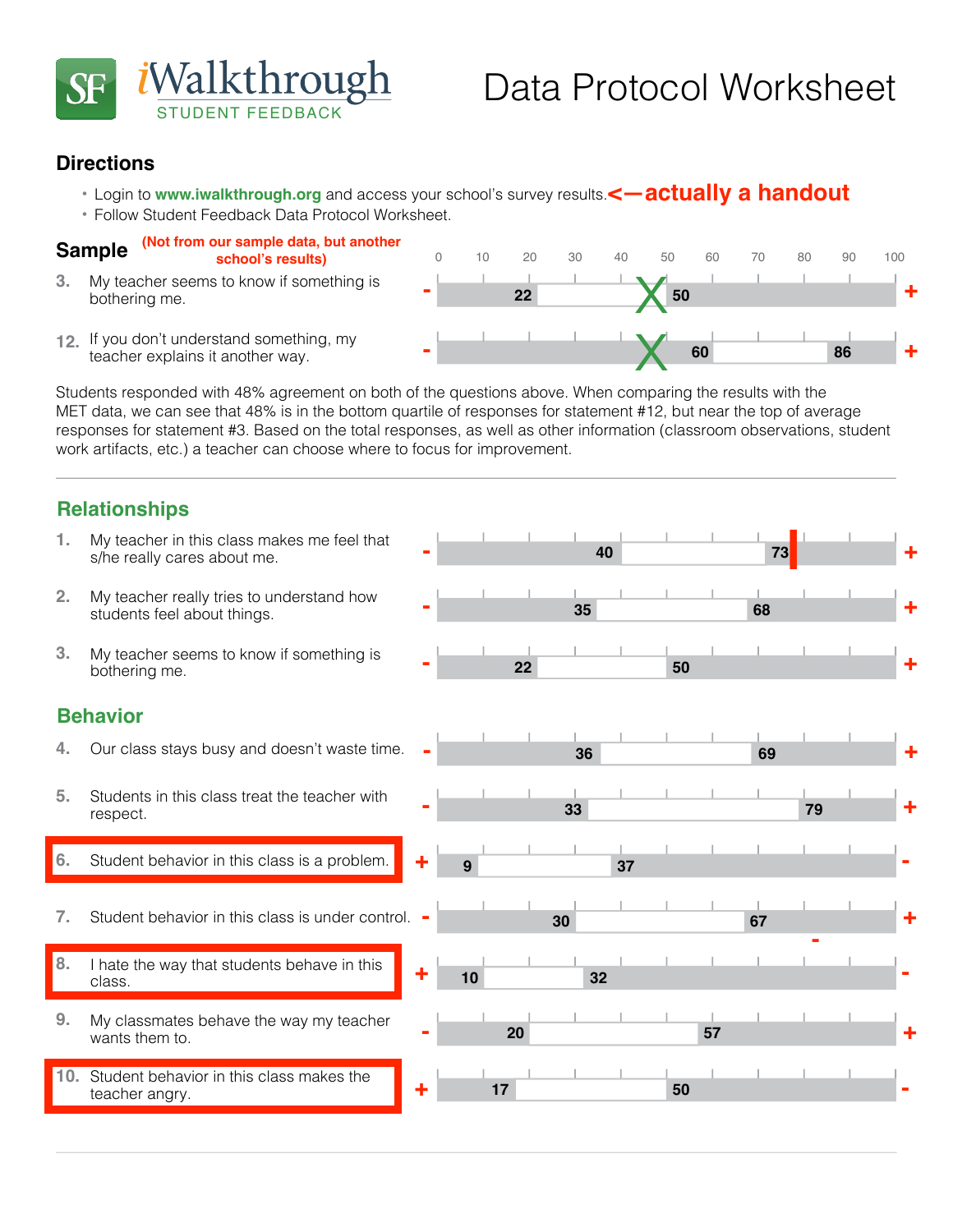

## **Directions**

- Login to www.iwalkthrough.org and access your school's survey results.<—actually a handout
- **•**  Follow Student Feedback Data Protocol Worksheet.

#### **Sample (Not from our sample data, but another school's results)**

- My teacher seems to know if something is bothering me. **3.**
- teacher explains it another way.

Students responded with 48% agreement on both of the questions above. When comparing the results with the MET data, we can see that 48% is in the bottom quartile of responses for statement #12, but near the top of average responses for statement #3. Based on the total responses, as well as other information (classroom observations, student work artifacts, etc.) a teacher can choose where to focus for improvement.

## **Relationships**

**1** My teacher in this class makes me feel that  $\begin{array}{ccc} 1 & 1 & 1 & 1 & 1 \ 1 & 1 & 1 & 1 \end{array}$ s/he really cares about me. **1.** My teacher really tries to understand how  $\begin{array}{ccc} - & - & - & - \ \end{array}$  **35 68** students feel about things. **2. 1** My teacher seems to know if something is  $\begin{array}{ccc} \hline \text{matrix} & \text{matrix} & \text{matrix} & \text{matrix} \\ \hline \text{50} & \text{matrix} & \text{matrix} & \text{matrix} \\ \hline \end{array}$ bothering me. **3. Behavior 4.** Our class stays busy and doesn't waste time. **36 69 33 79** Students in this class treat the teacher with respect. **5. 9 37 6.** Student behavior in this class is a problem. **1.** Student behavior in this class is under control. **30 30 120 <b>67 <sup>10</sup> <sup>32</sup>** I hate the way that students behave in this class. **8. 20** My classmates behave the way my teacher **20 1 20 1 1 1 1 57** wants them to. **9. 17 50** Student behavior in this class makes the teacher angry. **10. +** 9 37 **37 + - +**  $\begin{array}{|c|c|c|c|c|c|}\n\hline\n\textbf{17} & \textbf{50} & \textbf{51} \\
\hline\n\end{array}$ **- + - + 22 50 + - + - + - 1 a 1 a 1 a 1 a 1 a 1 a 1 a 1 a 1 a 1 a 1 -**  $\begin{array}{|c|c|c|c|c|c|}\n\hline\n\textbf{1} & \textbf{20} & \textbf{57} & \textbf{68} & \textbf{88} & \textbf{100} & \textbf{110} & \textbf{120} & \textbf{130} & \textbf{140} & \textbf{150} & \textbf{160} & \textbf{170} & \textbf{180} & \textbf{180} & \textbf{190} & \textbf{180} & \textbf{190} & \textbf{180} & \textbf{190} & \textbf{190} & \textbf{190} & \$ **- + |**

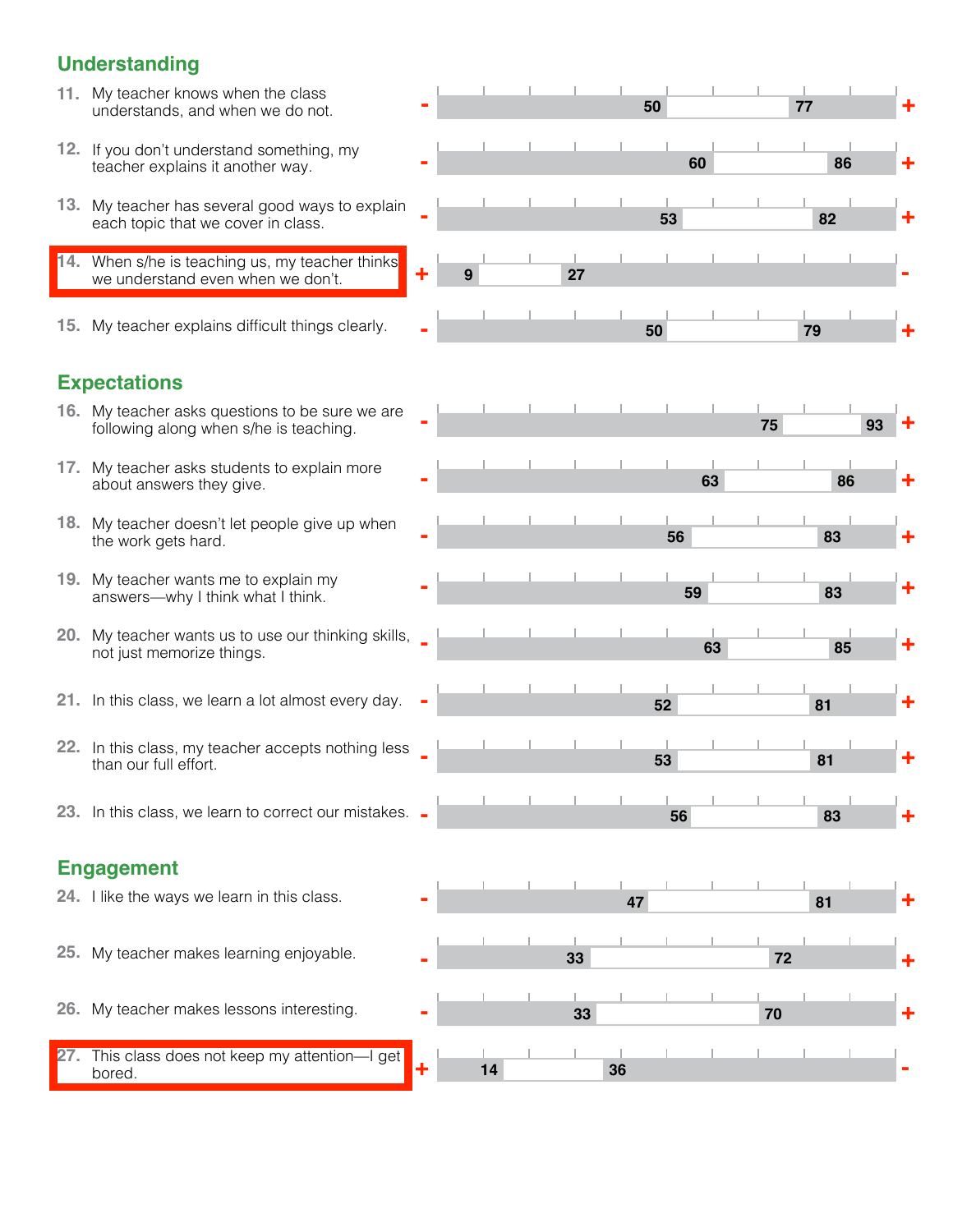## **Understanding**

- **11.** My teacher knows when the class
- teacher explains it another way.
- each topic that we cover in class.
- **<sup>9</sup> <sup>27</sup>** When s/he is teaching us, my teacher thinks **14.** we understand even when we don't.
- **15.** My teacher explains difficult things clearly.

# **Expectations**

- following along when s/he is teaching.
- about answers they give.
- the work gets hard.
- answers—why I think what I think.
- not just memorize things.
- **52 81 21.** In this class, we learn a lot almost every day.
- than our full effort.
- **23.** In this class, we learn to correct our mistakes. **56 83**

# **Engagement**

- **24.** I like the ways we learn in this class.
- My teacher makes learning enjoyable. **33 72 25.**
- My teacher makes lessons interesting. **33 70 26.**
- **<sup>14</sup> <sup>36</sup>** This class does not keep my attention—I get **27.** bored.

|     | 11. My teacher knows when the class<br>understands, and when we do not.                   |   |   |    |    |    | 50 |    | 77 |    | ٠          |
|-----|-------------------------------------------------------------------------------------------|---|---|----|----|----|----|----|----|----|------------|
|     | 12. If you don't understand something, my<br>teacher explains it another way.             |   |   |    |    |    | 60 |    | 86 |    | ╇          |
|     | 13. My teacher has several good ways to explain<br>each topic that we cover in class.     |   |   |    |    |    | 53 |    | 82 |    | $\ddagger$ |
|     | 14. When s/he is teaching us, my teacher thinks<br>we understand even when we don't.      | ÷ | 9 |    | 27 |    |    |    |    |    |            |
|     | 15. My teacher explains difficult things clearly.                                         |   |   |    |    |    | 50 |    | 79 |    |            |
|     | <b>Expectations</b>                                                                       |   |   |    |    |    |    |    |    |    |            |
|     | 16. My teacher asks questions to be sure we are<br>following along when s/he is teaching. |   |   |    |    |    |    | 75 |    | 93 |            |
|     | 17. My teacher asks students to explain more<br>about answers they give.                  |   |   |    |    |    | 63 |    | 86 |    |            |
|     | 18. My teacher doesn't let people give up when<br>the work gets hard.                     |   |   |    |    |    | 56 |    | 83 |    | ٠          |
|     | 19. My teacher wants me to explain my<br>answers-why I think what I think.                |   |   |    |    |    | 59 |    | 83 |    | ٠          |
| 20. | My teacher wants us to use our thinking skills, _<br>not just memorize things.            |   |   |    |    |    | 63 |    | 85 |    | ٠          |
|     | 21. In this class, we learn a lot almost every day.                                       |   |   |    |    |    | 52 |    | 81 |    | $\ddagger$ |
|     | 22. In this class, my teacher accepts nothing less<br>than our full effort.               |   |   |    |    |    | 53 |    | 81 |    | ╋          |
|     | 23. In this class, we learn to correct our mistakes. -                                    |   |   |    |    |    | 56 |    | 83 |    | ╋          |
|     | <b>Engagement</b>                                                                         |   |   |    |    |    |    |    |    |    |            |
|     | 24. I like the ways we learn in this class.                                               |   |   |    |    | 47 |    |    | 81 |    |            |
|     | 25. My teacher makes learning enjoyable.                                                  |   |   |    | 33 |    |    |    | 72 |    | ╇          |
|     | 26. My teacher makes lessons interesting.                                                 |   |   |    | 33 |    |    | 70 |    |    | ۰          |
| 27. | This class does not keep my attention-I get<br>bored.                                     | ٠ |   | 14 |    | 36 |    |    |    |    |            |